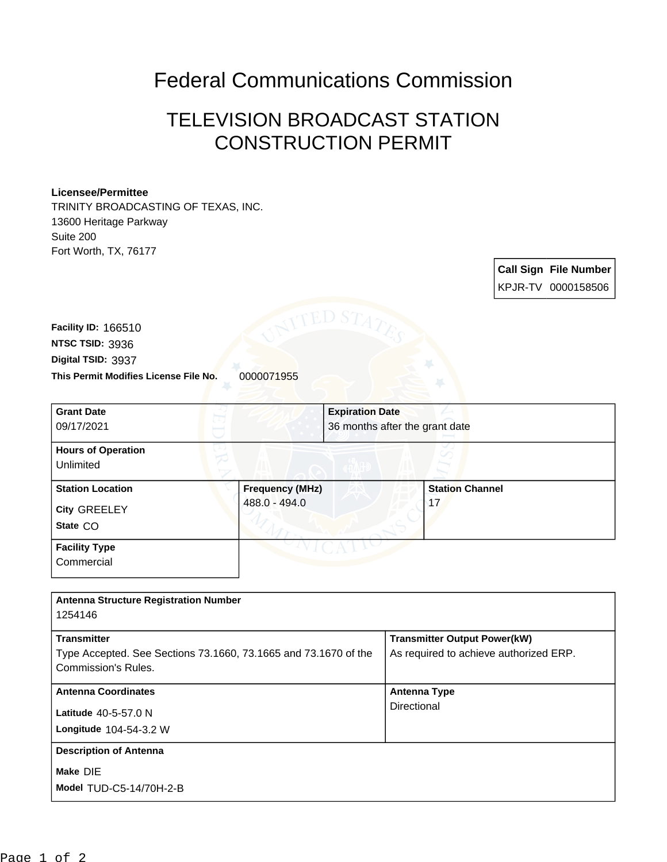## Federal Communications Commission

## TELEVISION BROADCAST STATION CONSTRUCTION PERMIT

## **Licensee/Permittee**

TRINITY BROADCASTING OF TEXAS, INC. 13600 Heritage Parkway Suite 200 Fort Worth, TX, 76177

> **Call Sign File Number** KPJR-TV 0000158506

**This Permit Modifies License File No.** 0000071955 **Digital TSID:** 3937 **NTSC TSID:** 3936 **Facility ID:** 166510

| <b>Grant Date</b><br>09/17/2021                     |                                         | <b>Expiration Date</b><br>36 months after the grant date |                              |  |
|-----------------------------------------------------|-----------------------------------------|----------------------------------------------------------|------------------------------|--|
| <b>Hours of Operation</b><br>Unlimited              |                                         |                                                          |                              |  |
| <b>Station Location</b><br>City GREELEY<br>State CO | <b>Frequency (MHz)</b><br>488.0 - 494.0 |                                                          | <b>Station Channel</b><br>17 |  |
| <b>Facility Type</b><br>Commercial                  |                                         |                                                          |                              |  |

| <b>Antenna Structure Registration Number</b>                    |                                        |
|-----------------------------------------------------------------|----------------------------------------|
| 1254146                                                         |                                        |
|                                                                 |                                        |
| <b>Transmitter</b>                                              | <b>Transmitter Output Power(kW)</b>    |
| Type Accepted. See Sections 73.1660, 73.1665 and 73.1670 of the | As required to achieve authorized ERP. |
| Commission's Rules.                                             |                                        |
|                                                                 |                                        |
| <b>Antenna Coordinates</b>                                      | <b>Antenna Type</b>                    |
| Latitude 40-5-57.0 N                                            | Directional                            |
|                                                                 |                                        |
| Longitude 104-54-3.2 W                                          |                                        |
| <b>Description of Antenna</b>                                   |                                        |
|                                                                 |                                        |
| Make DIE                                                        |                                        |
| <b>Model TUD-C5-14/70H-2-B</b>                                  |                                        |
|                                                                 |                                        |